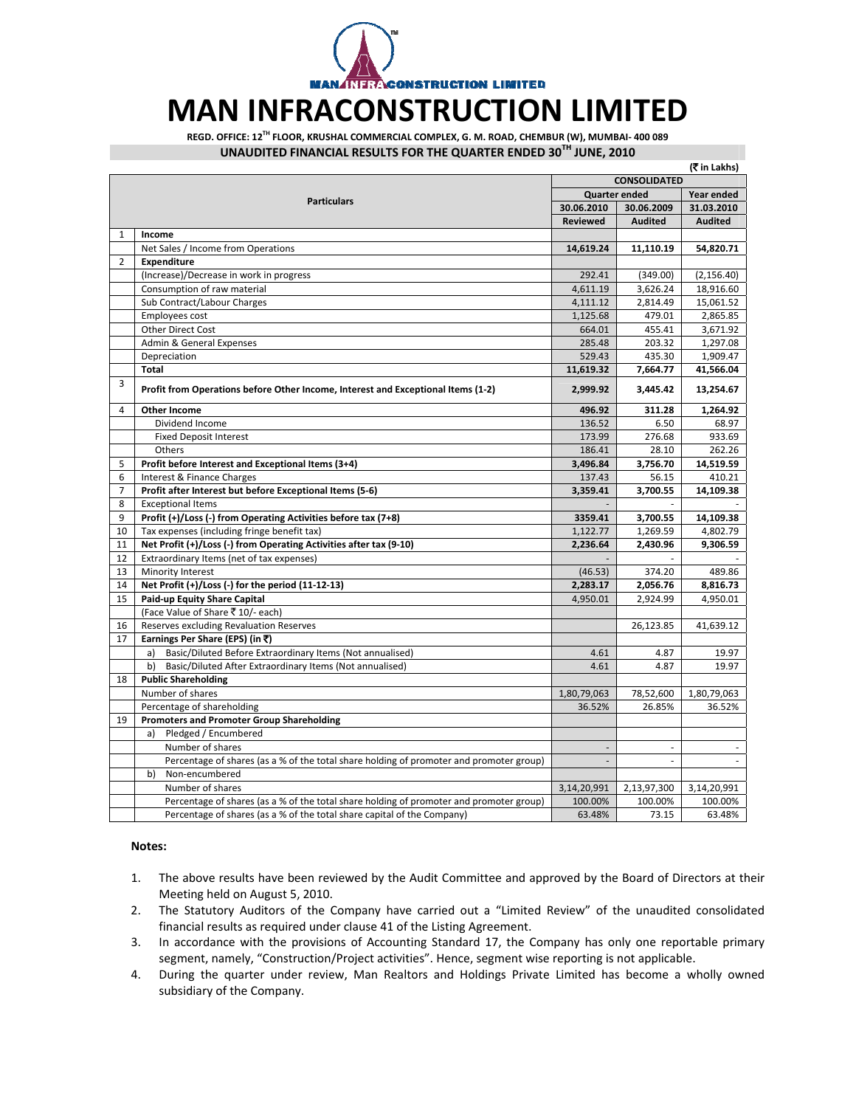**ACONSTRUCTION LIMITED** 

## **MAN INFRACONSTRUCTION LIMITED**

**REGD. OFFICE: 12TH FLOOR, KRUSHAL COMMERCIAL COMPLEX, G. M. ROAD, CHEMBUR (W), MUMBAI‐ 400 089 UNAUDITED FINANCIAL RESULTS FOR THE QUARTER ENDED 30TH JUNE, 2010**

|                |                                                                                         |                             |                             | (रैं in Lakhs) |  |
|----------------|-----------------------------------------------------------------------------------------|-----------------------------|-----------------------------|----------------|--|
|                | <b>Particulars</b>                                                                      |                             | <b>CONSOLIDATED</b>         |                |  |
|                |                                                                                         |                             | <b>Quarter ended</b>        |                |  |
|                |                                                                                         | 30.06.2010                  | 30.06.2009                  | 31.03.2010     |  |
|                |                                                                                         | <b>Reviewed</b>             | <b>Audited</b>              | <b>Audited</b> |  |
| 1              | Income                                                                                  |                             |                             |                |  |
|                | Net Sales / Income from Operations                                                      | 14,619.24                   | 11,110.19                   | 54,820.71      |  |
| $\overline{2}$ | Expenditure                                                                             |                             |                             |                |  |
|                | (Increase)/Decrease in work in progress                                                 | 292.41                      | (349.00)                    | (2, 156.40)    |  |
|                | Consumption of raw material                                                             | 4,611.19                    | 3,626.24                    | 18,916.60      |  |
|                | Sub Contract/Labour Charges                                                             | 4,111.12                    | 2,814.49                    | 15,061.52      |  |
|                | Employees cost                                                                          | 1,125.68                    | 479.01                      | 2,865.85       |  |
|                | Other Direct Cost                                                                       | 664.01                      | 455.41                      | 3,671.92       |  |
|                | Admin & General Expenses                                                                | 285.48                      | 203.32                      | 1,297.08       |  |
|                | Depreciation                                                                            | 529.43                      | 435.30                      | 1,909.47       |  |
|                | <b>Total</b>                                                                            | 11,619.32                   | 7,664.77                    | 41,566.04      |  |
| $\overline{3}$ | Profit from Operations before Other Income, Interest and Exceptional Items (1-2)        | 2,999.92                    | 3,445.42                    | 13,254.67      |  |
| 4              | <b>Other Income</b>                                                                     | 496.92                      | 311.28                      | 1,264.92       |  |
|                | Dividend Income                                                                         | 136.52                      | 6.50                        | 68.97          |  |
|                | <b>Fixed Deposit Interest</b>                                                           | 173.99                      | 276.68                      | 933.69         |  |
|                | Others                                                                                  | 186.41                      | 28.10                       | 262.26         |  |
| 5              | Profit before Interest and Exceptional Items (3+4)                                      | 3,496.84                    | 3,756.70                    | 14,519.59      |  |
| 6              | Interest & Finance Charges                                                              | 137.43                      | 56.15                       | 410.21         |  |
| $\overline{7}$ | Profit after Interest but before Exceptional Items (5-6)                                | 3,359.41                    | 3,700.55                    | 14,109.38      |  |
| 8              | <b>Exceptional Items</b>                                                                |                             |                             |                |  |
| 9              | Profit (+)/Loss (-) from Operating Activities before tax (7+8)                          | 3359.41                     | 3,700.55                    | 14,109.38      |  |
| 10             | Tax expenses (including fringe benefit tax)                                             | 1,122.77                    | 1,269.59                    | 4,802.79       |  |
| 11             | Net Profit (+)/Loss (-) from Operating Activities after tax (9-10)                      | 2,236.64                    | 2,430.96                    | 9,306.59       |  |
| 12             | Extraordinary Items (net of tax expenses)                                               |                             |                             |                |  |
| 13             | Minority Interest                                                                       | (46.53)                     | 374.20                      | 489.86         |  |
| 14             | Net Profit (+)/Loss (-) for the period (11-12-13)                                       | 2,283.17                    | 2,056.76                    | 8,816.73       |  |
| 15             | Paid-up Equity Share Capital                                                            | 4,950.01                    | 2,924.99                    | 4,950.01       |  |
|                | (Face Value of Share ₹ 10/- each)                                                       |                             |                             |                |  |
| 16             | Reserves excluding Revaluation Reserves                                                 |                             | 26,123.85                   | 41,639.12      |  |
| 17             | Earnings Per Share (EPS) (in ₹)                                                         |                             |                             |                |  |
|                | Basic/Diluted Before Extraordinary Items (Not annualised)<br>a)                         | 4.61                        | 4.87                        | 19.97          |  |
|                | b)<br>Basic/Diluted After Extraordinary Items (Not annualised)                          | 4.61                        | 4.87                        | 19.97          |  |
| 18             | <b>Public Shareholding</b>                                                              |                             |                             |                |  |
|                | Number of shares                                                                        | 1,80,79,063                 | 78,52,600                   | 1,80,79,063    |  |
|                | Percentage of shareholding                                                              | 36.52%                      | 26.85%                      | 36.52%         |  |
| 19             | <b>Promoters and Promoter Group Shareholding</b>                                        |                             |                             |                |  |
|                | Pledged / Encumbered<br>a)                                                              |                             |                             |                |  |
|                | Number of shares                                                                        | $\mathcal{L}_{\mathcal{A}}$ | $\mathcal{L}_{\mathcal{A}}$ | $\sim$         |  |
|                | Percentage of shares (as a % of the total share holding of promoter and promoter group) | ÷                           | ÷.                          |                |  |
|                | b)<br>Non-encumbered                                                                    |                             |                             |                |  |
|                | Number of shares                                                                        | 3,14,20,991                 | 2,13,97,300                 | 3,14,20,991    |  |
|                | Percentage of shares (as a % of the total share holding of promoter and promoter group) | 100.00%                     | 100.00%                     | 100.00%        |  |
|                | Percentage of shares (as a % of the total share capital of the Company)                 | 63.48%                      | 73.15                       | 63.48%         |  |

## **Notes:**

- 1. The above results have been reviewed by the Audit Committee and approved by the Board of Directors at their Meeting held on August 5, 2010.
- 2. The Statutory Auditors of the Company have carried out a "Limited Review" of the unaudited consolidated financial results as required under clause 41 of the Listing Agreement.
- 3. In accordance with the provisions of Accounting Standard 17, the Company has only one reportable primary segment, namely, "Construction/Project activities". Hence, segment wise reporting is not applicable.
- 4. During the quarter under review, Man Realtors and Holdings Private Limited has become a wholly owned subsidiary of the Company.